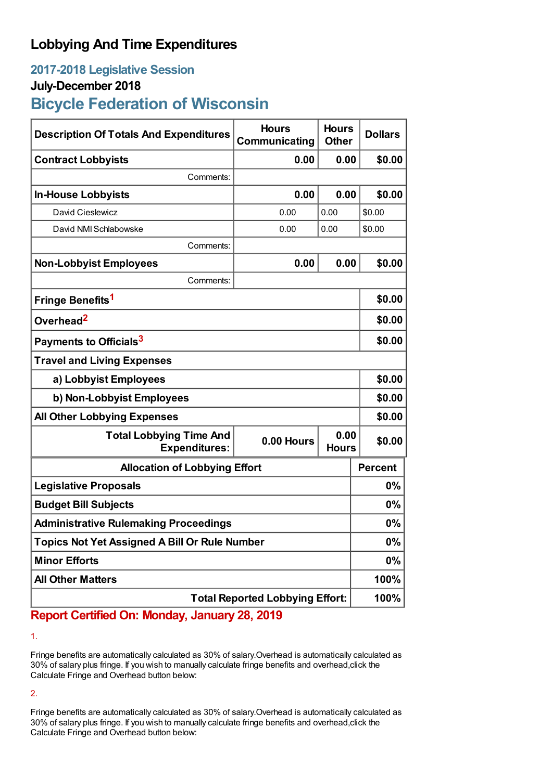## **Lobbying And Time Expenditures**

## **2017-2018 Legislative Session**

### **July-December 2018**

# **Bicycle Federation of Wisconsin**

| <b>Description Of Totals And Expenditures</b>          | <b>Hours</b><br>Communicating | <b>Hours</b><br><b>Other</b> | <b>Dollars</b> |
|--------------------------------------------------------|-------------------------------|------------------------------|----------------|
| <b>Contract Lobbyists</b>                              | 0.00                          | 0.00                         | \$0.00         |
| Comments:                                              |                               |                              |                |
| <b>In-House Lobbyists</b>                              | 0.00                          | 0.00                         | \$0.00         |
| David Cieslewicz                                       | 0.00                          | 0.00                         | \$0.00         |
| David NMI Schlabowske                                  | 0.00                          | 0.00                         | \$0.00         |
| Comments:                                              |                               |                              |                |
| <b>Non-Lobbyist Employees</b>                          | 0.00                          | 0.00                         | \$0.00         |
| Comments:                                              |                               |                              |                |
| Fringe Benefits <sup>1</sup>                           |                               |                              | \$0.00         |
| Overhead <sup>2</sup>                                  |                               |                              | \$0.00         |
| Payments to Officials <sup>3</sup>                     |                               |                              | \$0.00         |
| <b>Travel and Living Expenses</b>                      |                               |                              |                |
| a) Lobbyist Employees                                  |                               |                              | \$0.00         |
| b) Non-Lobbyist Employees                              |                               |                              | \$0.00         |
| <b>All Other Lobbying Expenses</b>                     |                               |                              | \$0.00         |
| <b>Total Lobbying Time And</b><br><b>Expenditures:</b> | 0.00 Hours                    | 0.00<br><b>Hours</b>         | \$0.00         |
| <b>Allocation of Lobbying Effort</b>                   |                               |                              | <b>Percent</b> |
| <b>Legislative Proposals</b>                           |                               |                              | 0%             |
| <b>Budget Bill Subjects</b>                            |                               |                              | 0%             |
| <b>Administrative Rulemaking Proceedings</b>           |                               |                              | 0%             |
| <b>Topics Not Yet Assigned A Bill Or Rule Number</b>   |                               |                              | 0%             |
| <b>Minor Efforts</b>                                   |                               |                              | 0%             |
| <b>All Other Matters</b>                               |                               |                              | 100%           |
| <b>Total Reported Lobbying Effort:</b>                 |                               |                              | 100%           |

## **Report Certified On: Monday, January 28, 2019**

1.

Fringe benefits are automatically calculated as 30% of salary.Overhead is automatically calculated as 30% of salary plus fringe. If you wish to manually calculate fringe benefits and overhead,click the Calculate Fringe and Overhead button below:

2.

Fringe benefits are automatically calculated as 30% of salary.Overhead is automatically calculated as 30% of salary plus fringe. If you wish to manually calculate fringe benefits and overhead,click the Calculate Fringe and Overhead button below: